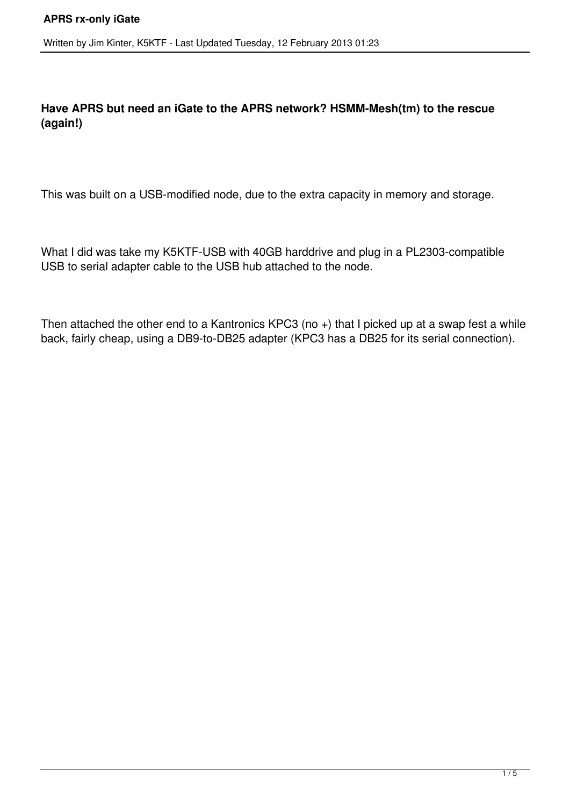**Have APRS but need an iGate to the APRS network? HSMM-Mesh(tm) to the rescue (again!)**

This was built on a USB-modified node, due to the extra capacity in memory and storage.

What I did was take my K5KTF-USB with 40GB harddrive and plug in a PL2303-compatible USB to serial adapter cable to the USB hub attached to the node.

Then attached the other end to a Kantronics KPC3 (no +) that I picked up at a swap fest a while back, fairly cheap, using a DB9-to-DB25 adapter (KPC3 has a DB25 for its serial connection).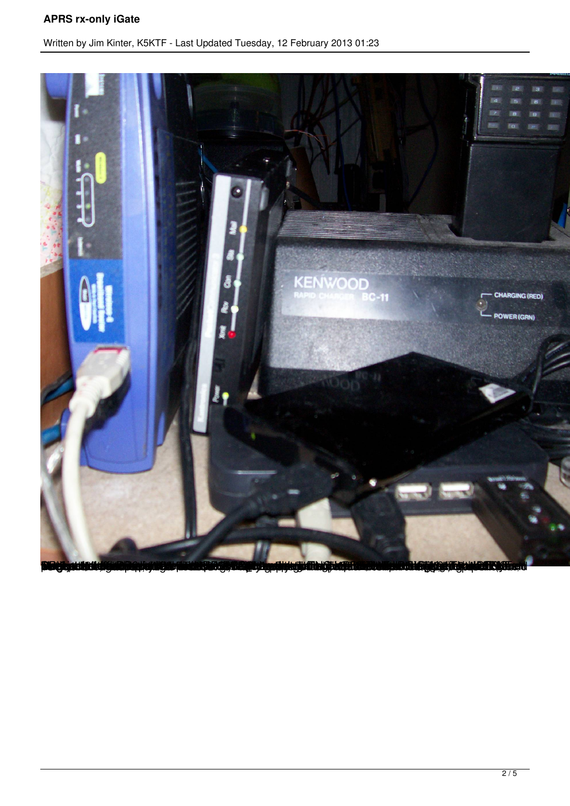## **APRS rx-only iGate**

Written by Jim Kinter, K5KTF - Last Updated Tuesday, 12 February 2013 01:23

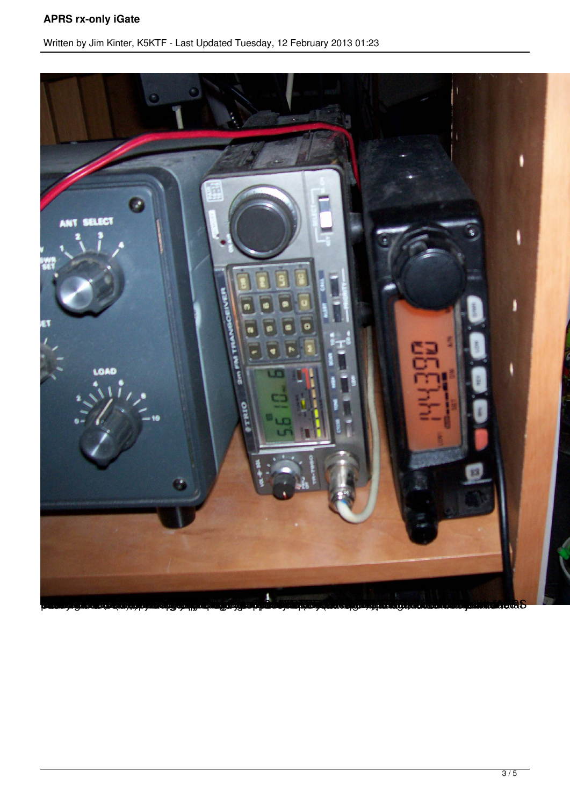## **APRS rx-only iGate**

Written by Jim Kinter, K5KTF - Last Updated Tuesday, 12 February 2013 01:23

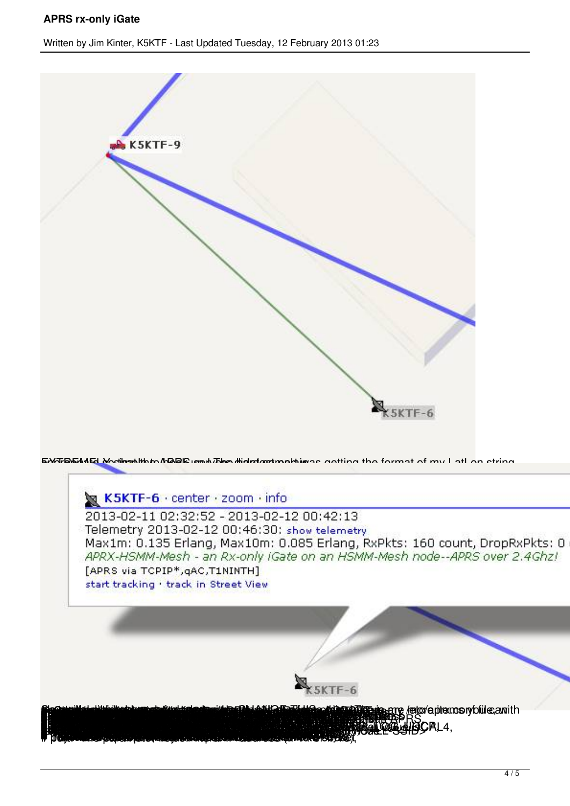## **APRS rx-only iGate**